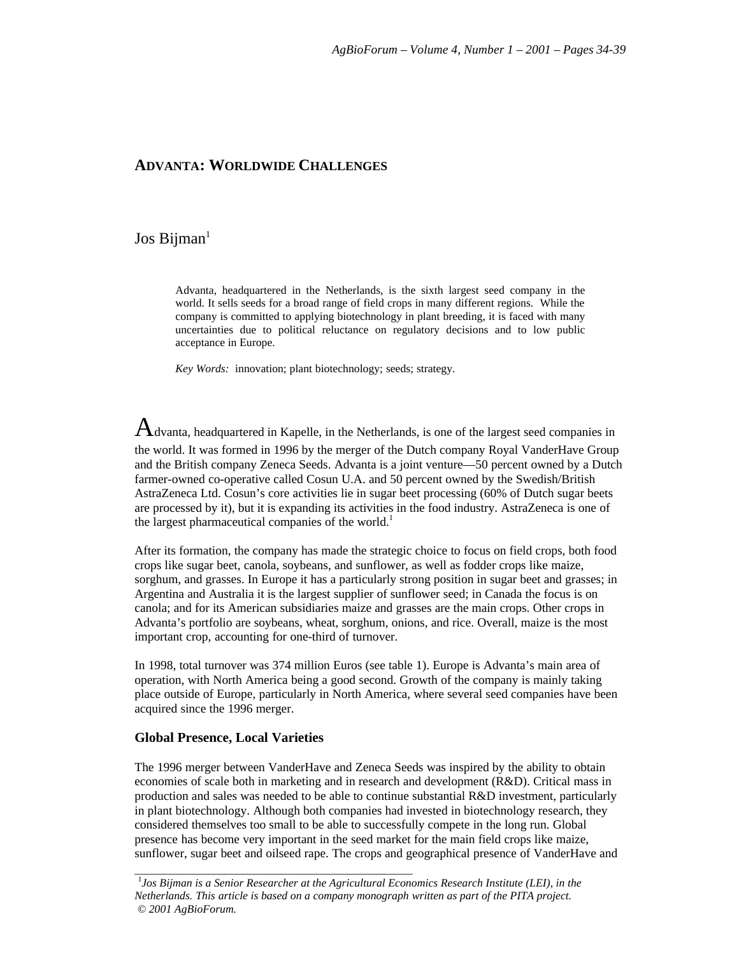# **ADVANTA: WORLDWIDE CHALLENGES**

# $Jos Bijman<sup>1</sup>$

Advanta, headquartered in the Netherlands, is the sixth largest seed company in the world. It sells seeds for a broad range of field crops in many different regions. While the company is committed to applying biotechnology in plant breeding, it is faced with many uncertainties due to political reluctance on regulatory decisions and to low public acceptance in Europe.

*Key Words:* innovation; plant biotechnology; seeds; strategy.

 $A$ dvanta, headquartered in Kapelle, in the Netherlands, is one of the largest seed companies in the world. It was formed in 1996 by the merger of the Dutch company Royal VanderHave Group and the British company Zeneca Seeds. Advanta is a joint venture—50 percent owned by a Dutch farmer-owned co-operative called Cosun U.A. and 50 percent owned by the Swedish/British AstraZeneca Ltd. Cosun's core activities lie in sugar beet processing (60% of Dutch sugar beets are processed by it), but it is expanding its activities in the food industry. AstraZeneca is one of the largest pharmaceutical companies of the world.<sup>1</sup>

After its formation, the company has made the strategic choice to focus on field crops, both food crops like sugar beet, canola, soybeans, and sunflower, as well as fodder crops like maize, sorghum, and grasses. In Europe it has a particularly strong position in sugar beet and grasses; in Argentina and Australia it is the largest supplier of sunflower seed; in Canada the focus is on canola; and for its American subsidiaries maize and grasses are the main crops. Other crops in Advanta's portfolio are soybeans, wheat, sorghum, onions, and rice. Overall, maize is the most important crop, accounting for one-third of turnover.

In 1998, total turnover was 374 million Euros (see table 1). Europe is Advanta's main area of operation, with North America being a good second. Growth of the company is mainly taking place outside of Europe, particularly in North America, where several seed companies have been acquired since the 1996 merger.

#### **Global Presence, Local Varieties**

\_\_\_\_\_\_\_\_\_\_\_\_\_\_\_\_\_\_\_\_\_\_\_\_\_\_\_\_\_\_\_\_\_\_\_\_\_\_\_\_\_\_\_\_\_\_\_\_\_

The 1996 merger between VanderHave and Zeneca Seeds was inspired by the ability to obtain economies of scale both in marketing and in research and development (R&D). Critical mass in production and sales was needed to be able to continue substantial R&D investment, particularly in plant biotechnology. Although both companies had invested in biotechnology research, they considered themselves too small to be able to successfully compete in the long run. Global presence has become very important in the seed market for the main field crops like maize, sunflower, sugar beet and oilseed rape. The crops and geographical presence of VanderHave and

<sup>1</sup> *Jos Bijman is a Senior Researcher at the Agricultural Economics Research Institute (LEI), in the Netherlands. This article is based on a company monograph written as part of the PITA project. © 2001 AgBioForum.*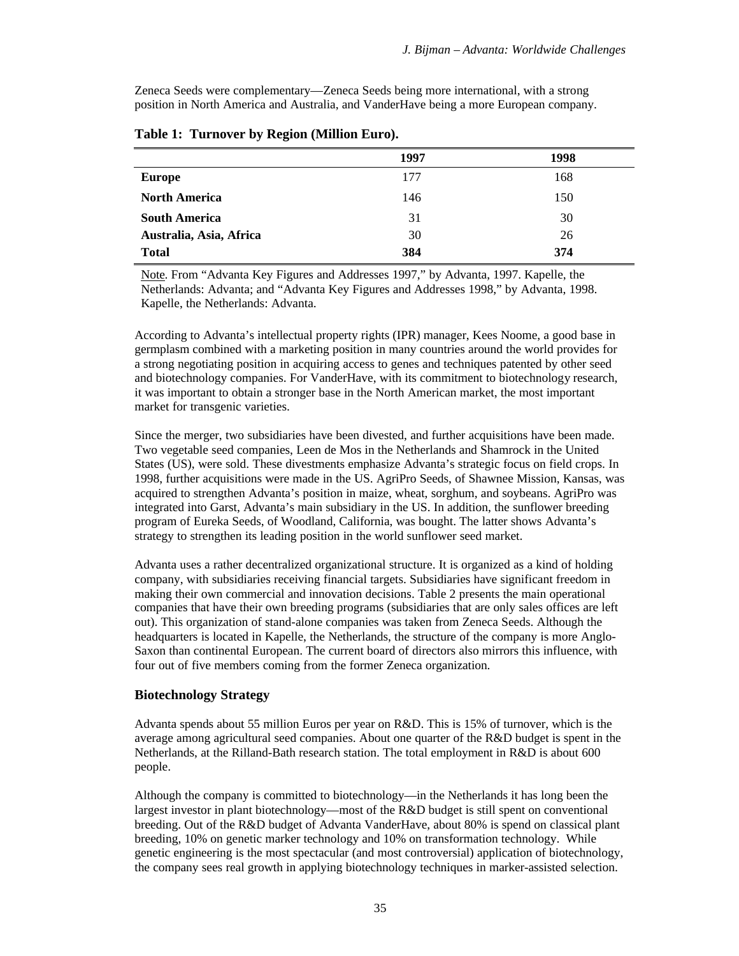Zeneca Seeds were complementary—Zeneca Seeds being more international, with a strong position in North America and Australia, and VanderHave being a more European company.

|                         | 1997 | 1998 |
|-------------------------|------|------|
| <b>Europe</b>           | 177  | 168  |
| <b>North America</b>    | 146  | 150  |
| <b>South America</b>    | 31   | 30   |
| Australia, Asia, Africa | 30   | 26   |
| <b>Total</b>            | 384  | 374  |

|  | Table 1: Turnover by Region (Million Euro). |  |  |  |  |
|--|---------------------------------------------|--|--|--|--|
|--|---------------------------------------------|--|--|--|--|

Note. From "Advanta Key Figures and Addresses 1997," by Advanta, 1997. Kapelle, the Netherlands: Advanta; and "Advanta Key Figures and Addresses 1998," by Advanta, 1998. Kapelle, the Netherlands: Advanta.

According to Advanta's intellectual property rights (IPR) manager, Kees Noome, a good base in germplasm combined with a marketing position in many countries around the world provides for a strong negotiating position in acquiring access to genes and techniques patented by other seed and biotechnology companies. For VanderHave, with its commitment to biotechnology research, it was important to obtain a stronger base in the North American market, the most important market for transgenic varieties.

Since the merger, two subsidiaries have been divested, and further acquisitions have been made. Two vegetable seed companies, Leen de Mos in the Netherlands and Shamrock in the United States (US), were sold. These divestments emphasize Advanta's strategic focus on field crops. In 1998, further acquisitions were made in the US. AgriPro Seeds, of Shawnee Mission, Kansas, was acquired to strengthen Advanta's position in maize, wheat, sorghum, and soybeans. AgriPro was integrated into Garst, Advanta's main subsidiary in the US. In addition, the sunflower breeding program of Eureka Seeds, of Woodland, California, was bought. The latter shows Advanta's strategy to strengthen its leading position in the world sunflower seed market.

Advanta uses a rather decentralized organizational structure. It is organized as a kind of holding company, with subsidiaries receiving financial targets. Subsidiaries have significant freedom in making their own commercial and innovation decisions. Table 2 presents the main operational companies that have their own breeding programs (subsidiaries that are only sales offices are left out). This organization of stand-alone companies was taken from Zeneca Seeds. Although the headquarters is located in Kapelle, the Netherlands, the structure of the company is more Anglo-Saxon than continental European. The current board of directors also mirrors this influence, with four out of five members coming from the former Zeneca organization.

## **Biotechnology Strategy**

Advanta spends about 55 million Euros per year on R&D. This is 15% of turnover, which is the average among agricultural seed companies. About one quarter of the R&D budget is spent in the Netherlands, at the Rilland-Bath research station. The total employment in R&D is about 600 people.

Although the company is committed to biotechnology—in the Netherlands it has long been the largest investor in plant biotechnology—most of the R&D budget is still spent on conventional breeding. Out of the R&D budget of Advanta VanderHave, about 80% is spend on classical plant breeding, 10% on genetic marker technology and 10% on transformation technology. While genetic engineering is the most spectacular (and most controversial) application of biotechnology, the company sees real growth in applying biotechnology techniques in marker-assisted selection.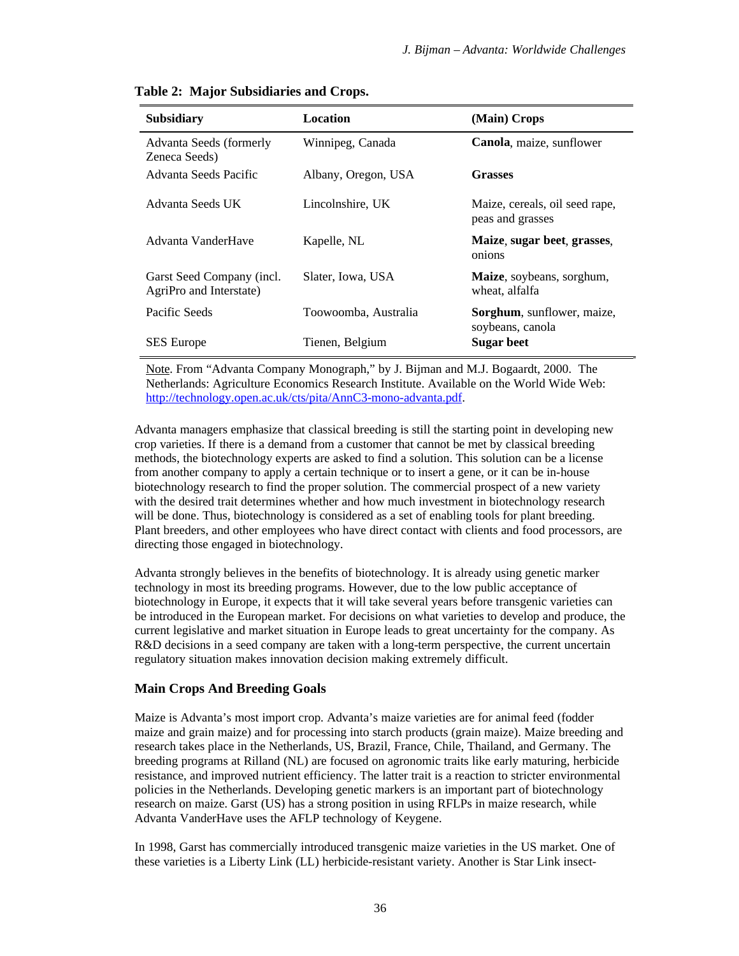| <b>Subsidiary</b>                                    | Location             | (Main) Crops                                           |
|------------------------------------------------------|----------------------|--------------------------------------------------------|
| Advanta Seeds (formerly<br>Zeneca Seeds)             | Winnipeg, Canada     | Canola, maize, sunflower                               |
| Advanta Seeds Pacific                                | Albany, Oregon, USA  | <b>Grasses</b>                                         |
| Advanta Seeds UK                                     | Lincolnshire, UK     | Maize, cereals, oil seed rape,<br>peas and grasses     |
| Advanta VanderHave                                   | Kapelle, NL          | Maize, sugar beet, grasses,<br>onions                  |
| Garst Seed Company (incl.<br>AgriPro and Interstate) | Slater, Iowa, USA    | Maize, soybeans, sorghum,<br>wheat, alfalfa            |
| Pacific Seeds                                        | Toowoomba, Australia | <b>Sorghum</b> , sunflower, maize,<br>soybeans, canola |
| <b>SES</b> Europe                                    | Tienen, Belgium      | <b>Sugar beet</b>                                      |

### **Table 2: Major Subsidiaries and Crops.**

Note. From "Advanta Company Monograph," by J. Bijman and M.J. Bogaardt, 2000. The Netherlands: Agriculture Economics Research Institute. Available on the World Wide Web: http://technology.open.ac.uk/cts/pita/AnnC3-mono-advanta.pdf.

Advanta managers emphasize that classical breeding is still the starting point in developing new crop varieties. If there is a demand from a customer that cannot be met by classical breeding methods, the biotechnology experts are asked to find a solution. This solution can be a license from another company to apply a certain technique or to insert a gene, or it can be in-house biotechnology research to find the proper solution. The commercial prospect of a new variety with the desired trait determines whether and how much investment in biotechnology research will be done. Thus, biotechnology is considered as a set of enabling tools for plant breeding. Plant breeders, and other employees who have direct contact with clients and food processors, are directing those engaged in biotechnology.

Advanta strongly believes in the benefits of biotechnology. It is already using genetic marker technology in most its breeding programs. However, due to the low public acceptance of biotechnology in Europe, it expects that it will take several years before transgenic varieties can be introduced in the European market. For decisions on what varieties to develop and produce, the current legislative and market situation in Europe leads to great uncertainty for the company. As R&D decisions in a seed company are taken with a long-term perspective, the current uncertain regulatory situation makes innovation decision making extremely difficult.

#### **Main Crops And Breeding Goals**

Maize is Advanta's most import crop. Advanta's maize varieties are for animal feed (fodder maize and grain maize) and for processing into starch products (grain maize). Maize breeding and research takes place in the Netherlands, US, Brazil, France, Chile, Thailand, and Germany. The breeding programs at Rilland (NL) are focused on agronomic traits like early maturing, herbicide resistance, and improved nutrient efficiency. The latter trait is a reaction to stricter environmental policies in the Netherlands. Developing genetic markers is an important part of biotechnology research on maize. Garst (US) has a strong position in using RFLPs in maize research, while Advanta VanderHave uses the AFLP technology of Keygene.

In 1998, Garst has commercially introduced transgenic maize varieties in the US market. One of these varieties is a Liberty Link (LL) herbicide-resistant variety. Another is Star Link insect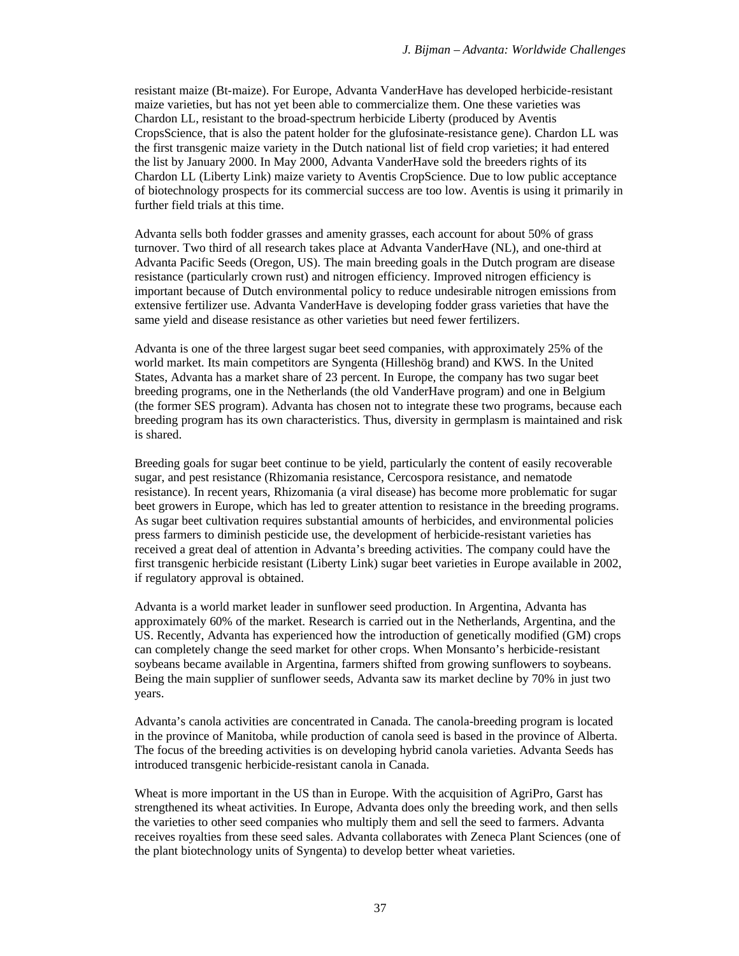resistant maize (Bt-maize). For Europe, Advanta VanderHave has developed herbicide-resistant maize varieties, but has not yet been able to commercialize them. One these varieties was Chardon LL, resistant to the broad-spectrum herbicide Liberty (produced by Aventis CropsScience, that is also the patent holder for the glufosinate-resistance gene). Chardon LL was the first transgenic maize variety in the Dutch national list of field crop varieties; it had entered the list by January 2000. In May 2000, Advanta VanderHave sold the breeders rights of its Chardon LL (Liberty Link) maize variety to Aventis CropScience. Due to low public acceptance of biotechnology prospects for its commercial success are too low. Aventis is using it primarily in further field trials at this time.

Advanta sells both fodder grasses and amenity grasses, each account for about 50% of grass turnover. Two third of all research takes place at Advanta VanderHave (NL), and one-third at Advanta Pacific Seeds (Oregon, US). The main breeding goals in the Dutch program are disease resistance (particularly crown rust) and nitrogen efficiency. Improved nitrogen efficiency is important because of Dutch environmental policy to reduce undesirable nitrogen emissions from extensive fertilizer use. Advanta VanderHave is developing fodder grass varieties that have the same yield and disease resistance as other varieties but need fewer fertilizers.

Advanta is one of the three largest sugar beet seed companies, with approximately 25% of the world market. Its main competitors are Syngenta (Hilleshög brand) and KWS. In the United States, Advanta has a market share of 23 percent. In Europe, the company has two sugar beet breeding programs, one in the Netherlands (the old VanderHave program) and one in Belgium (the former SES program). Advanta has chosen not to integrate these two programs, because each breeding program has its own characteristics. Thus, diversity in germplasm is maintained and risk is shared.

Breeding goals for sugar beet continue to be yield, particularly the content of easily recoverable sugar, and pest resistance (Rhizomania resistance, Cercospora resistance, and nematode resistance). In recent years, Rhizomania (a viral disease) has become more problematic for sugar beet growers in Europe, which has led to greater attention to resistance in the breeding programs. As sugar beet cultivation requires substantial amounts of herbicides, and environmental policies press farmers to diminish pesticide use, the development of herbicide-resistant varieties has received a great deal of attention in Advanta's breeding activities. The company could have the first transgenic herbicide resistant (Liberty Link) sugar beet varieties in Europe available in 2002, if regulatory approval is obtained.

Advanta is a world market leader in sunflower seed production. In Argentina, Advanta has approximately 60% of the market. Research is carried out in the Netherlands, Argentina, and the US. Recently, Advanta has experienced how the introduction of genetically modified (GM) crops can completely change the seed market for other crops. When Monsanto's herbicide-resistant soybeans became available in Argentina, farmers shifted from growing sunflowers to soybeans. Being the main supplier of sunflower seeds, Advanta saw its market decline by 70% in just two years.

Advanta's canola activities are concentrated in Canada. The canola-breeding program is located in the province of Manitoba, while production of canola seed is based in the province of Alberta. The focus of the breeding activities is on developing hybrid canola varieties. Advanta Seeds has introduced transgenic herbicide-resistant canola in Canada.

Wheat is more important in the US than in Europe. With the acquisition of AgriPro, Garst has strengthened its wheat activities. In Europe, Advanta does only the breeding work, and then sells the varieties to other seed companies who multiply them and sell the seed to farmers. Advanta receives royalties from these seed sales. Advanta collaborates with Zeneca Plant Sciences (one of the plant biotechnology units of Syngenta) to develop better wheat varieties.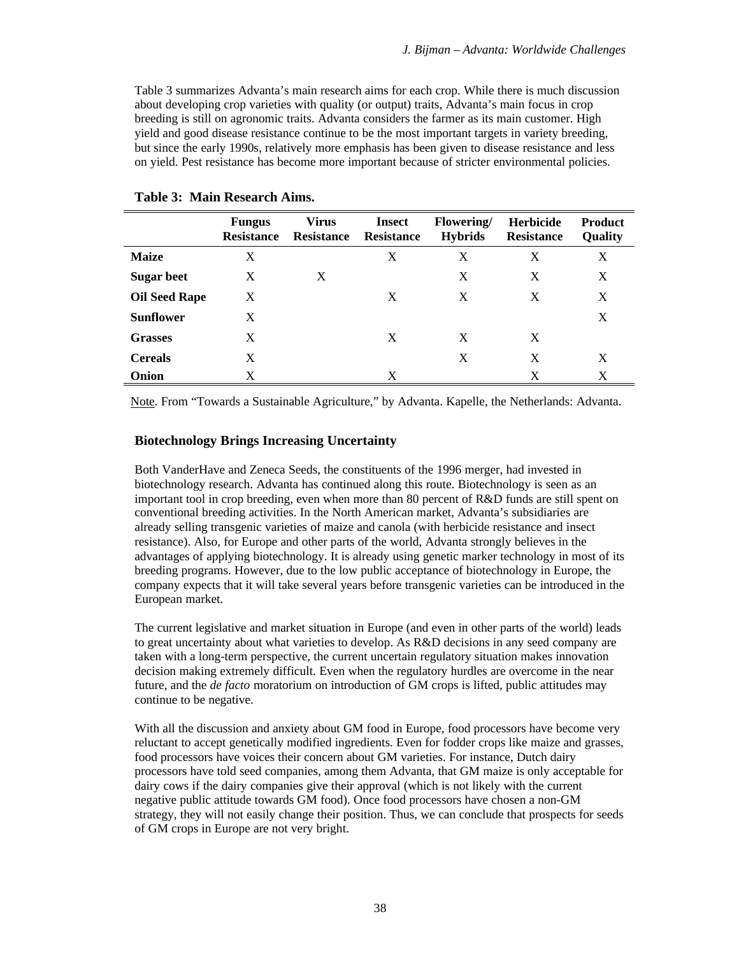Table 3 summarizes Advanta's main research aims for each crop. While there is much discussion about developing crop varieties with quality (or output) traits, Advanta's main focus in crop breeding is still on agronomic traits. Advanta considers the farmer as its main customer. High yield and good disease resistance continue to be the most important targets in variety breeding, but since the early 1990s, relatively more emphasis has been given to disease resistance and less on yield. Pest resistance has become more important because of stricter environmental policies.

|                      | <b>Fungus</b><br><b>Resistance</b> | Virus<br>Resistance | <b>Insect</b><br><b>Resistance</b> | <b>Flowering</b><br><b>Hybrids</b> | <b>Herbicide</b><br><b>Resistance</b> | <b>Product</b><br>Quality |
|----------------------|------------------------------------|---------------------|------------------------------------|------------------------------------|---------------------------------------|---------------------------|
| <b>Maize</b>         | X                                  |                     | X                                  | X                                  | X                                     | X                         |
| <b>Sugar beet</b>    | X                                  | X                   |                                    | X                                  | X                                     | X                         |
| <b>Oil Seed Rape</b> | X                                  |                     | X                                  | X                                  | X                                     | X                         |
| <b>Sunflower</b>     | X                                  |                     |                                    |                                    |                                       | X                         |
| <b>Grasses</b>       | X                                  |                     | X                                  | X                                  | X                                     |                           |
| <b>Cereals</b>       | X                                  |                     |                                    | X                                  | X                                     | X                         |
| Onion                | X                                  |                     | X                                  |                                    | X                                     | X                         |

#### **Table 3: Main Research Aims.**

Note. From "Towards a Sustainable Agriculture," by Advanta. Kapelle, the Netherlands: Advanta.

## **Biotechnology Brings Increasing Uncertainty**

Both VanderHave and Zeneca Seeds, the constituents of the 1996 merger, had invested in biotechnology research. Advanta has continued along this route. Biotechnology is seen as an important tool in crop breeding, even when more than 80 percent of R&D funds are still spent on conventional breeding activities. In the North American market, Advanta's subsidiaries are already selling transgenic varieties of maize and canola (with herbicide resistance and insect resistance). Also, for Europe and other parts of the world, Advanta strongly believes in the advantages of applying biotechnology. It is already using genetic marker technology in most of its breeding programs. However, due to the low public acceptance of biotechnology in Europe, the company expects that it will take several years before transgenic varieties can be introduced in the European market.

The current legislative and market situation in Europe (and even in other parts of the world) leads to great uncertainty about what varieties to develop. As R&D decisions in any seed company are taken with a long-term perspective, the current uncertain regulatory situation makes innovation decision making extremely difficult. Even when the regulatory hurdles are overcome in the near future, and the *de facto* moratorium on introduction of GM crops is lifted, public attitudes may continue to be negative.

With all the discussion and anxiety about GM food in Europe, food processors have become very reluctant to accept genetically modified ingredients. Even for fodder crops like maize and grasses, food processors have voices their concern about GM varieties. For instance, Dutch dairy processors have told seed companies, among them Advanta, that GM maize is only acceptable for dairy cows if the dairy companies give their approval (which is not likely with the current negative public attitude towards GM food). Once food processors have chosen a non-GM strategy, they will not easily change their position. Thus, we can conclude that prospects for seeds of GM crops in Europe are not very bright.